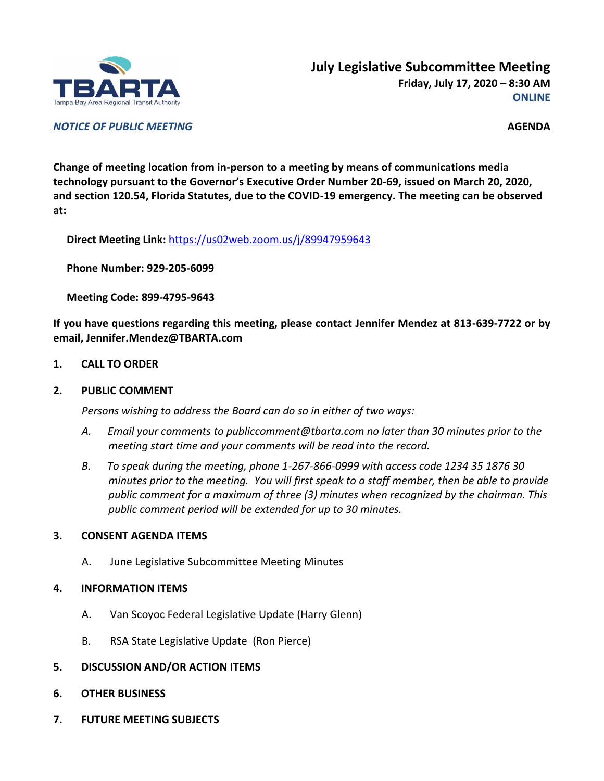

*NOTICE OF PUBLIC MEETING* **AGENDA**

**Change of meeting location from in-person to a meeting by means of communications media technology pursuant to the Governor's Executive Order Number 20-69, issued on March 20, 2020, and section 120.54, Florida Statutes, due to the COVID-19 emergency. The meeting can be observed at:**

**Direct Meeting Link:** <https://us02web.zoom.us/j/89947959643>

**Phone Number: 929-205-6099**

**Meeting Code: 899-4795-9643**

**If you have questions regarding this meeting, please contact Jennifer Mendez at 813-639-7722 or by email, Jennifer.Mendez@TBARTA.com**

**1. CALL TO ORDER**

## **2. PUBLIC COMMENT**

*Persons wishing to address the Board can do so in either of two ways:*

- *A. Email your comments to publiccomment@tbarta.com no later than 30 minutes prior to the meeting start time and your comments will be read into the record.*
- *B. To speak during the meeting, phone 1-267-866-0999 with access code 1234 35 1876 30 minutes prior to the meeting. You will first speak to a staff member, then be able to provide public comment for a maximum of three (3) minutes when recognized by the chairman. This public comment period will be extended for up to 30 minutes.*

## **3. CONSENT AGENDA ITEMS**

A. June Legislative Subcommittee Meeting Minutes

## **4. INFORMATION ITEMS**

- A. Van Scoyoc Federal Legislative Update (Harry Glenn)
- B. RSA State Legislative Update (Ron Pierce)
- **5. DISCUSSION AND/OR ACTION ITEMS**
- **6. OTHER BUSINESS**
- **7. FUTURE MEETING SUBJECTS**